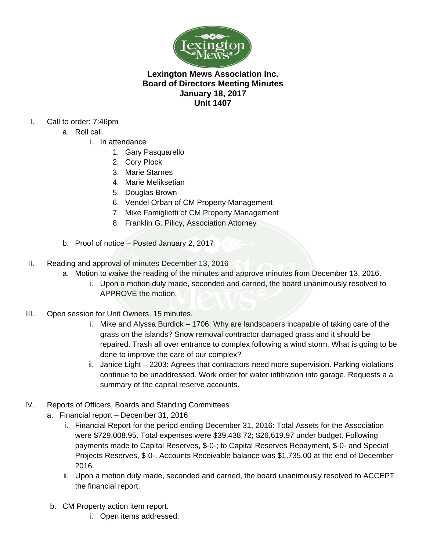

## **Lexington Mews Association Inc. Board of Directors Meeting Minutes January 18, 2017 Unit 1407**

## I. Call to order: 7:46pm

- a. Roll call.
	- i. In attendance
		- 1. Gary Pasquarello
		- 2. Cory Plock
		- 3. Marie Starnes
		- 4. Marie Meliksetian
		- 5. Douglas Brown
		- 6. Vendel Orban of CM Property Management
		- 7. Mike Famiglietti of CM Property Management
		- 8. Franklin G. Pilicy, Association Attorney
- b. Proof of notice Posted January 2, 2017
- II. Reading and approval of minutes December 13, 2016
	- a. Motion to waive the reading of the minutes and approve minutes from December 13, 2016.
		- i. Upon a motion duly made, seconded and carried, the board unanimously resolved to APPROVE the motion.
- III. Open session for Unit Owners, 15 minutes.
	- i. Mike and Alyssa Burdick 1706: Why are landscapers incapable of taking care of the grass on the islands? Snow removal contractor damaged grass and it should be repaired. Trash all over entrance to complex following a wind storm. What is going to be done to improve the care of our complex?
	- ii. Janice Light 2203: Agrees that contractors need more supervision. Parking violations continue to be unaddressed. Work order for water infiltration into garage. Requests a a summary of the capital reserve accounts.
- IV. Reports of Officers, Boards and Standing Committees
	- a. Financial report December 31, 2016
		- i. Financial Report for the period ending December 31, 2016: Total Assets for the Association were \$729,008.95. Total expenses were \$39,438.72; \$26,619.97 under budget. Following payments made to Capital Reserves, \$-0-; to Capital Reserves Repayment, \$-0- and Special Projects Reserves, \$-0-. Accounts Receivable balance was \$1,735.00 at the end of December 2016.
		- ii. Upon a motion duly made, seconded and carried, the board unanimously resolved to ACCEPT the financial report.
	- b. CM Property action item report.
		- i. Open items addressed.